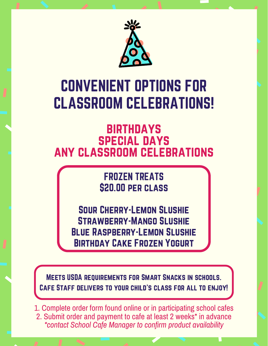

## CONVENIENT OPTIONS FOR CLASSROOM CELEBRATIONS!

## **BIRTHDAYS** special days any classroom celebrations

## FROZEN TREATS \$20.00 per class

Sour Cherry-Lemon Slushie Strawberry-Mango Slushie Blue Raspberry-Lemon Slushie Birthday Cake Frozen Yogurt

Meets USDA requirements for Smart Snacks in schools. Cafe Staff delivers to your child's class for all to enjoy!

1. Complete order form found online or in participating school cafes 2. Submit order and payment to cafe at least 2 weeks\* in advance *\*contact School Cafe Manager to confirm product availability*